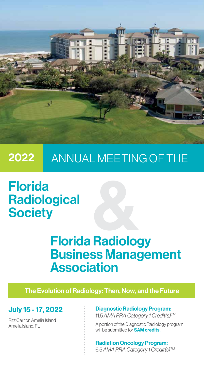

## ANNUAL MEETING OF THE 2022

# Florida **Radiological Society**

# Florida Radiology Business Management Association

The Evolution of Radiology: Then, Now, and the Future

# July 15 - 17, 2022

Ritz Carlton Amelia Island Amelia Island, FL

## Diagnostic Radiology Program: 11.5 *AMA PRA Category 1 Credit(s)TM*

A portion of the Diagnostic Radiology program will be submitted for **SAM credits.** 

Radiation Oncology Program: 6.5 *AMA PRA Category 1 Credit(s)TM*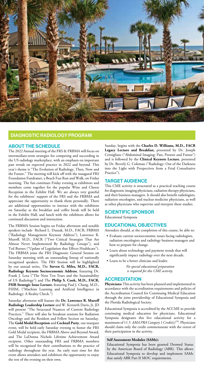

## DIAGNOSTIC RADIOLOGY PROGRAM

#### ABOUT THE SCHEDULE

The 2022 Annual meeting of the FRS & FRBMA will focus on intermediate-term strategies for competing and succeeding in the US radiology marketplace, with an emphasis on important past trends on expected practice in 2022 and beyond. This year's theme is "The Evolution of Radiology, Then, Now and the Future." The meeting will kick off with the inaugural FRS Foundation Fundraiser, a Beach Fun Run and Walk, on Friday morning. The fun continues Friday evening as exhibitors and members come together for the popular Wine and Cheese Reception in the Exhibit Hall. We are always very grateful for the exhibitors' support of the FRS and the FRBMA and appreciate the opportunity to thank them personally. There are additional opportunities to interact with the exhibitors on Saturday as the breakfast and coffee break will be held in the Exhibit Hall, and lunch with the exhibitors allows for continued discussion and interaction.

The FRBMA Session begins on Friday afternoon and notable speakers include Richard L. Duszak, M.D., FACR, FRBMA ("Radiology Management Keynote Address"), Lawrence R. Muroff, M.D., FACR ("Two Critical Strategies That Are Almost Never Implemented By Radiology Groups"), and Ted Burnes ("Update of Legislation that Effects Healthcare"). The FRBMA joins the FRS Diagnostic General Session on Saturday morning with an outstanding lineup of nationally recognized speakers. The FRS Session will be highlighted by our annual series, The **Steven G. Miles, M.D., FACR, Radiology Keynote Socioeconomic Address**, featuring Dr. Frank J. Lexa ("The Next Ten Years and the Sustainability of US Radiology") and The **Philip S. Cook, M.D., FACR, FSIR Strategic Issue Lecture**, featuring Paul J. Chang, M.D., FSIIM, ("Machine Learning and Artificial Intelligence in Radiology: A Reality Check.")

Saturday afternoon will feature the **Dr. Lawrence R. Muroff Radiology Leadership Lecture** and W. Kenneth Davis, Jr, JD will present "The Structural Nuances of Current Radiology Practices." There will also be breakout sessions for Radiation Oncology and the Resident and Fellow Section on Saturday. The **Gold Medal Reception** and **Cocktail Party**, our marquee event, will be held early Saturday evening to honor the FRS Gold Medal recipient, the FRBMA Above and Beyond Award, and The LaDonna Nichols Lifetime Achievement Award recipient. Other outstanding FRS and FRBMA members will be recognized for their contributions to the practice of radiology throughout the year. An early start time for this event allows attendees and exhibitors the opportunity to enjoy the rest of the evening on their own.

Sunday, begins with the **Charles D. Williams, M.D., FACR Legacy Lecture and Breakfast,** presented by Dr. Joseph Cernigliaro ("Abdominal Imaging: Past, Present and Future") and is followed by the **Clinical Keynote Lecture**, presented by Dr. Beverly G. Coleman ("Radiology: Out of the Darkness into the Light with Perspectives from a Fetal Consultative Practice").

#### TARGET AUDIENCE

This CME activity is structured as a practical teaching course for diagnostic imaging physicians, radiation therapy physicians, and their business managers. It should also benefit radiologists, radiation oncologists, and nuclear medicine physicians, as well as other physicians who supervise and interpret these studies.

#### SCIENTIFIC SPONSOR

Educational Symposia

## EDUCATIONAL OBJECTIVES

Attendees should, at the completion of this course, be able to:

- Evaluate current socioeconomic issues facing radiologists, radiation oncologists and radiology business managers and how to prepare for change.
- Learn about technology and payment trends that will significantly impact radiology over the next decade.

• Learn to be a better clinician and leader. *No special educational preparation is required for this CME activity.*

#### **ACCREDITATION**

**Physicians:** This activity has been planned and implemented in accordance with the accreditation requirements and policies of the Accreditation Council for Continuing Medical Education through the joint providership of Educational Symposia and the Florida Radiological Society.

Educational Symposia is accredited by the ACCME to provide continuing medical education for physicians. Educational Symposia designates this live educational activity for a maximum of 11.5 *AMA PRA Category 1 Credit(s)TM*. Physicians should claim only the credit commensurate with the extent of their participation in the activity.

#### **Self Assessment Modules (SAMs):**

Educational Symposia has been granted Deemed Status by the American Board of Radiology (ABR). This allows Educational Symposia to develop and implement SAMs that satisfy ABR Part II MOC requirements.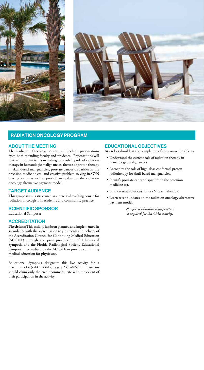



## RADIATION ONCOLOGY PROGRAM

## ABOUT THE MEETING

The Radiation Oncology session will include presentations from both attending faculty and residents. Presentations will review important issues including the evolving role of radiation therapy in hematologic malignancies, the use of proton therapy in skull-based malignancies, prostate cancer disparities in the precision medicine era, and creative problem solving in GYN brachytherapy as well as provide an update on the radiation oncology alternative payment model.

## TARGET AUDIENCE

This symposium is structured as a practical teaching course for radiation oncologists in academic and community practice.

#### SCIENTIFIC SPONSOR

Educational Symposia

## **ACCREDITATION**

**Physicians:** This activity has been planned and implemented in accordance with the accreditation requirements and policies of the Accreditation Council for Continuing Medical Education (ACCME) through the joint providership of Educational Symposia and the Florida Radiological Society. Educational Symposia is accredited by the ACCME to provide continuing medical education for physicians.

Educational Symposia designates this live activity for a maximum of 6.5 *AMA PRA Category 1 Credit(s)TM*. Physicians should claim only the credit commensurate with the extent of their participation in the activity.

## EDUCATIONAL OBJECTIVES

Attendees should, at the completion of this course, be able to:

- Understand the current role of radiation therapy in hematologic malignancies.
- Recognize the role of high-dose conformal proton radiotherapy for skull-based malignancies.
- Identify prostate cancer disparities in the precision medicine era.
- Find creative solutions for GYN brachytherapy.
- Learn recent updates on the radiation oncology alternative payment model.

*No special educational preparation is required for this CME activity.*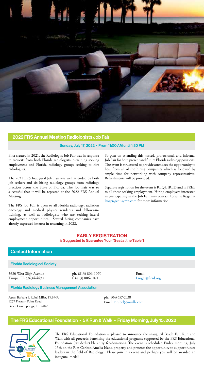

## 2022 FRS Annual Meeting Radiologists Job Fair

#### Sunday, July 17, 2022 • From 11:00 AM until 1:30 PM

First created in 2021, the Radiologist Job Fair was in response to requests from both Florida radiologists-in-training seeking employment and Florida radiology groups seeking to hire radiologists.

The 2021 FRS Inaugural Job Fair was well attended by both job seekers and six hiring radiology groups from radiology practices across the State of Florida. The Job Fair was so successful that it will be repeated at the 2022 FRS Annual Meeting.

The FRS Job Fair is open to all Florida radiology, radiation oncology and medical physics residents and fellows-intraining, as well as radiologists who are seeking lateral employment opportunities. Several hiring companies have already expressed interest in returning in 2022.

So plan on attending this hosted, professional, and informal Job Fair for both present and future Florida radiology positions. The event is structured to provide attendees the opportunity to hear from all of the hiring companies which is followed by ample time for networking with company representatives. Refreshments will be provided.

Separate registration for the event is REQUIRED and is FREE to all those seeking employment. Hiring employers interested in participating in the Job Fair may contact Lorraine Roger at lroger@edusymp.com for more information.

#### EARLY REGISTRATION is Suggested to Guarantee Your "Seat at the Table"!

## Contact Information

#### Florida Radiological Society

5620 West Sligh Avenue Tampa, FL 33634-4490 ph. (813) 806-1070 f. (813) 806-1071

Email: Lroger@flrad.org

Florida Radiology Business Management Association

Attn: Barbara F. Rubel MBA, FRBMA 1257 Pleasant Point Road Green Cove Springs, FL 32043

ph. (904) 657-2038 Email: Brubel@msnllc.com

## The FRS Educational Foundation • 5K Run & Walk • Friday Morning, July 15, 2022



The FRS Educational Foundation is pleased to announce the inaugural Beach Fun Run and Walk with all proceeds benefiting the educational programs supported by the FRS Educational Foundation (tax deductible entry fee/donation). The event is scheduled Friday morning, July 15th on the Ritz-Carlton Amelia Island property and presents the opportunity to support future leaders in the field of Radiology. Please join this event and perhaps you will be awarded an inaugural medal!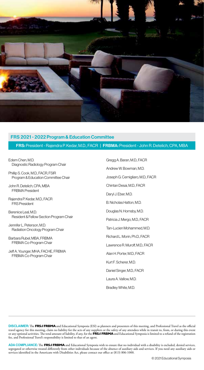

## FRS 2021 - 2022 Program & Education Committee

## FRS: President - Rajendra P. Kedar, M.D., FACR | FRBMA: President - John R. Detelich, CPA, MBA

Edem Chen, M.D. Diagnostic Radiology Program Chair

Phillip S. Cook, M.D., FACR, FSIR Program & Education Committee Chair

John R. Detelich, CPA, MBA FRBMA President

Rajendra P. Kedar, M.D., FACR FRS President

Berenice Leal, M.D. Resident & Fellow Section Program Chair

Jennifer L. Peterson, M.D. Radiation Oncology Program Chair

Barbara Rubel, MBA, FRBMA FRBMA Co-Program Chair

Jeff A. Younger, MHA, FACHE, FRBMA FRBMA Co-Program Chair

Gregg A. Baran, M.D., FACR Andrew W. Bowman, M.D. Joseph G. Cernigliaro, M.D., FACR Chintan Desai, M.D., FACR Daryl J. Eber, M.D. B. Nicholas Hatton, M.D. Douglas N. Hornsby, M.D. Patricia J. Mergo, M.D., FACR Tan-Lucien Mohammed, M.D. Richard L. Morin, Ph.D., FACR Lawrence R. Muroff, M.D., FACR Alan H. Porter, M.D., FACR Kurt F. Scherer, M.D. Daniel Singer, M.D., FACR Laura A. Vallow, M.D. Bradley White, M.D.

DISCLAIMER:The **FRS**& **FRBMA** and Educational Symposia (ESI) as planners and presenters of this meeting, and Professional Travel as the official travel agency for this meeting, claim no liability for the acts of any suppliers or the safety of any attendees while in transit to, from, or during this event or any optional activities. The total amount of liability, if any, for the **FRS**& **FRBMA** and Educational Symposia is limited to a refund of the registration fee, and Professional Travel's responsibility is limited to that of an agent.

ADA COMPLIANCE:The **FRS**& **FRBMA** and Educational Symposia wish to ensure that no individual with a disability is excluded, denied services, segregated or otherwise treated differently from other individuals because of the absence of auxiliary aids and services. If you need any auxiliary aids or services identified in the Americans with Disabilities Act, please contact our office at (813) 806-1000.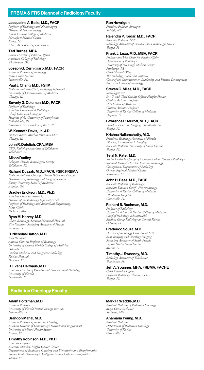## FRBMA & FRS Diagnostic Radiology Faculty

#### Jacqueline A. Bello, M.D., FACR

*Professor of Radiology and Neurosurgery Director of Neuroradiology Albert Einstein College of Medicine Montefiore Medical Center Bronx, NY Chair, ACR Board of Chancellors*

#### Ted Burnes, MPA

*Senior Director of Political Affairs American College of Radiology Washington, DC*

#### Joseph G. Cernigliaro, M.D., FACR

*Assistant Professor of Radiology Mayo Clinic Florida Jacksonville, FL*

#### Paul J. Chang, M.D., FSIIM

*Professor and Vice-Chair, Radiology Informatics University of Chicago School of Medicine Chicago, IL* 

#### Beverly G. Coleman, M.D., FACR

*Professor of Radiology Associate Chairman of Radiology Chief, Ultrasound Imaging Hospital of the University of Pennsylvania Philadelphia, PA Immediate Past President of the ACR*

#### W. Kenneth Davis, Jr., J.D.

*Partner, Katten Muchin Rosenman LLP Chicago, IL*

#### John R. Detelich, CPA, MBA

*CEO, Radiology Associates of Tallahassee Tallahassee, FL*

Alison Dudley *Lobbyist, Florida Radiological Society Tallahassee, FL*

#### Richard Duszak, M.D., FACR, FSIR, FRBMA

*Professor and Vice Chair for Health Policy and Practice Department of Radiology and Imaging Sciences Emory University School of Medicine Atlanta, GA*

#### Bradley Erickson, M.D., Ph.D.

*Associate Chair for Research, Director of the Radiology Informatics Lab Professor of Radiology and Biomedical Engineering, Mayo Clinic Rochester, MN*

#### Ryan M. Harvey, M.D.

*Chair, Radiology, Sarasota Memorial Hospital Vice President, Radiology Associates of Florida Sarasota, FL*

#### B. Nicholas Hatton, M.D.

*FRS President Adjunct Clinical Professor of Radiology University of Central Florida College of Medicine Orlando, FL Nuclear Medicine and Diagnostic Radiology Florida Hospital Daytona, FL*

#### R. Evans Heithaus, M.D.

*Associate Director of Vascular and Interventional Radiology University of Florida Gainesville, FL*

#### Radiation Oncology Faculty

#### Adam Holtzman, M.D.

*Assistant Professor University of Florida Proton Therapy Institute Jacksonville, FL*

## Brandon Mahal, M.D.

*Assistant Professor of Radiation Oncology Assistant Director of Community Outreach and Engagement University of Miami Health System Miami, FL*

#### Timothy Robinson, M.D., Ph.D. *Associate Professor*

*Associate Member, Moffitt Cancer Center Departments of Radiation Oncology and Biostatistics and Bioinformatics Section head: Hematologic Malignancies and Cellular Therapeutics Tampa, FL*

#### Ron Howrigon

*President Fulcrum Strategies Raleigh, NC*

#### Rajendra P. Kedar, M.D., FACR

*Associate Professor, USF Radiology Associates of Florida/ Tower Radiology/ Orion Tampa, Fl*

#### Frank J. Lexa, M.D., MBA, FACR

*Professor and Vice Chair for Faculty Affairs Department of Radiology University of Pittsburgh Medical Center Pittsburgh, PA Chief Medical Officer The Radiology Leadership Institute Chair of the Commission on Leadership and Practice Development American College of Radiology*

#### Steven G. Miles, M.D., FACR

*Radiologist RIA Sr. VP and Chief Quality Officer Halifax Health Clinical Assistant Professor FSU College of Medicine Clinical Assistant Professor University of Florida College of Medicine Daytona, FL*

#### Lawrence R. Muroff, M.D., FACR

*President Emeritus, Imaging Consultants, Inc. Tampa, FL*

## Krishna Nallamshetty, M.D.

*President, Radiology Associates of Florida Director, Cardiothoracic Imaging Associate Professor, University of South Florida Tampa, FL*

## Tejal N. Patel, M.D.

*Senior Leader in Charge of Communications Envision Radiology Regional Medical Director, Envision Radiology Chairperson, Department of Radiology Osceola Regional Medical Center Kissimmee, FL*

#### John H. Rees, M.D., FACR

*Associate Professor of Radiology Associate Division Chief - Neuroradiology University of Florida College of Medicine UF Shands Hospital Gainesville, FL*

#### Richard B. Ruchman, M.D.

*Professor of Radiology University of Central Florida College of Medicine Chief of Radiology, AdventHealth Medical Group Radiology at Central Florida Orlando, FL*

#### Frederico Souza, M.D.

*Director of Radiology Clerkship at FIU Body Imaging and Oncology Imaging Radiology Associates of South Florida Baptist Health South Florida Miami, FL*

## Timothy J. Sweeney, M.D.

*Radiology Associates of Tallahassee Tallahassee, FL*

Jeff A. Younger, MHA, FRBMA, FACHE *Chief Executive Officer Preferred Radiology Alliance, PLLC Tampa, FL*

#### Mark R. Waddle, M.D.

*Assistant Professor of Radiation Oncology Mayo Clinic Rochester Rochester, MN*

#### Anamaria Yeung, M.D. *Assistant Professor*

*Department of Radiation Oncology University of Florida Gainesville, FL*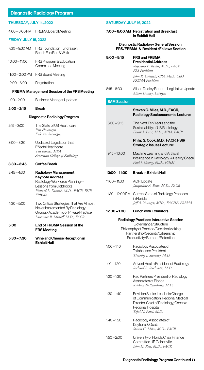## Diagnostic Radiology Program

#### THURSDAY, JULY 14, 2022

| 4:00 – 6:00 PM | FRBMA Board Meeting |
|----------------|---------------------|
|----------------|---------------------|

#### FRIDAY, JULY 15, 2022

| $7.30 - 9.30$ AM | <b>FRS Foundation Fundraiser:</b><br>Beach Fun Run & Walk |
|------------------|-----------------------------------------------------------|
| $10:00 - 11:00$  | FRS Program & Education<br>Committee Meeting              |
|                  | 11:00 - 2:00 PM FRS Board Meeting                         |
| $12:00 - 6:00$   | Registration                                              |

#### FRBMA Management Session of the FRS Meeting

| $2:00 - 2:15$ | <b>Break</b>                    |
|---------------|---------------------------------|
| $1:00 - 2:00$ | <b>Business Manager Updates</b> |

## Diagnostic Radiology Program

| $2:15 - 3:00$ | The State of US Healthcare<br>Ron Howrigon<br>Fulcrum Strategies                                            |
|---------------|-------------------------------------------------------------------------------------------------------------|
| $3:00 - 3:30$ | Update of Legislation that<br><b>Effects Healthcare</b><br>Ted Burnes, MPA<br>American College of Radiology |
|               |                                                                                                             |
| $3:30 - 3:45$ | Coffee Break                                                                                                |

#### 4:30 – 5:00 Two Critical Strategies That Are Almost Never Implemented By Radiology Groups- Academic or Private Practice  *Lawrence R. Muroff, M.D., FACR*

#### 5:00 End of FRBMA Session of the FRS Meeting

## 5:30 – 7:30 Wine and Cheese Reception in Exhibit Hall

## SATURDAY, JULY 16, 2022

## 7:00 – 8:00 AM Registration and Breakfast in Exhibit Hall Diagnostic Radiology General Session: FRS/FRBMA & Resident /Fellows Section

| $8:00 - 8:15$      | <b>FRS and FRBMA</b><br><b>Presidential Address</b><br>Rajendra P. Kedar, M.D., FACR,<br>FRS President<br>John R. Detelich, CPA, MBA, CEO,<br>FRBMA President                   |
|--------------------|---------------------------------------------------------------------------------------------------------------------------------------------------------------------------------|
| $8:15 - 8:30$      | Alison Dudley Report - Legislative Update<br>Alison Dudley, Lobbyist                                                                                                            |
| <b>SAM Session</b> |                                                                                                                                                                                 |
|                    | Steven G. Miles, M.D., FACR,<br>Radiology Socioeconomic Lecture:                                                                                                                |
| $8:30 - 9:15$      | The Next Ten Years and the<br>Sustainability of US Radiology<br>Frank J. Lexa, M.D., MBA, FACR                                                                                  |
|                    | Philip S. Cook, M.D., FACR, FSIR<br><b>Strategic Issues Lecture:</b>                                                                                                            |
| $9:15 - 10:00$     | Machine Learning and Artificial<br>Intelligence in Radiology: A Reality Check<br>Paul J. Chang, M.D., FSIIM                                                                     |
| 10:00 - 11:00      | <b>Break in Exhibit Hall</b>                                                                                                                                                    |
| $11:00 - 11:30$    | <b>ACR Update</b><br>Jacqueline A. Bello, M.D., FACR                                                                                                                            |
|                    | 11:30 - 12:00 PM Current State of Radiology Practices<br>in Florida<br>Jeff A. Younger, MHA, FACHE, FRBMA                                                                       |
| 12:00 - 1:00       | Lunch with Exhibitors                                                                                                                                                           |
|                    | Radiology Practices Interactive Session<br>Governance/Structure<br>Philosophy of Practice/Decision Making<br>Partnership/Security/Citizenship<br>Productivity/Burnout/Retention |
| $1:00 - 1:10$      | Radiology Associates of<br><b>Tallahassee President</b><br>Timothy J. Sweeney, M.D.                                                                                             |
| $1:10 - 1:20$      | Advent Health President of Radiology<br>Richard B. Ruchman, M.D.                                                                                                                |
| $1:20 - 1:30$      | Rad Partners President of Radiology<br>Associates of Florida<br>Krishna Nallamshetty, M.D.                                                                                      |
| $1:30 - 1:40$      | Envision Senior Leader in Charge<br>of Communication, Regional Medical<br>Director, Chief of Radiology, Osceola<br>Regional Hospital<br>Tejal N. Patel, M.D.                    |
| $1:40 - 1:50$      | Radiology Associates of<br>Daytona & Ocala<br>Steven G. Miles, M.D., FACR                                                                                                       |
| $1:50 - 2:00$      | University of Florida Chair Finance<br>Committee UF Gainesville<br>John H. Rees, M.D., FACR                                                                                     |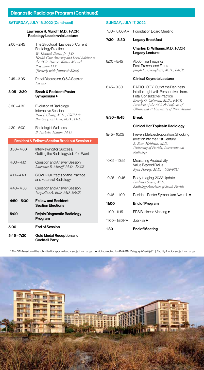| SATURDAY, JULY 16, 2022 (Continued)                                                                                           |                                                                                                                   |                   | <b>SUNDAY, JULY 17, 2022</b>                                                                                                                      |  |  |
|-------------------------------------------------------------------------------------------------------------------------------|-------------------------------------------------------------------------------------------------------------------|-------------------|---------------------------------------------------------------------------------------------------------------------------------------------------|--|--|
| Lawrence R. Muroff, M.D., FACR,<br>Radiology Leadership Lecture:                                                              |                                                                                                                   |                   | 7:30 - 8:00 AM Foundation Board Meeting                                                                                                           |  |  |
|                                                                                                                               |                                                                                                                   |                   | <b>Legacy Breakfast</b>                                                                                                                           |  |  |
| $2:00 - 2:45$                                                                                                                 | The Structural Nuances of Current<br>Radiology Practices<br>W. Kenneth Davis, Jr., J.D.                           |                   | Charles D. Williams, M.D., FACR<br>Legacy Lecture:                                                                                                |  |  |
| Health Care Attorney and Legal Advisor to<br>the ACR. Partner Katten Munich<br>Rosenman LLP<br>(formerly with Jenner & Block) |                                                                                                                   | $8:00 - 8:45$     | Abdominal Imaging:<br>Past, Present and Future<br>Joseph G. Cernigliaro, M.D., FACR                                                               |  |  |
| $2:45 - 3:05$                                                                                                                 | Panel Discussion, Q & A Session<br>Faculty                                                                        |                   | <b>Clinical Keynote Lecture:</b>                                                                                                                  |  |  |
| $3:05 - 3:30$                                                                                                                 | <b>Break &amp; Resident Poster</b><br>Svmposium ♦                                                                 | $8:45 - 9:30$     | RADIOLOGY: Out of the Darkness<br>Into the Light with Perspectives from a<br><b>Fetal Consultative Practice</b><br>Beverly G. Coleman, M.D., FACR |  |  |
| $3:30 - 4:30$                                                                                                                 | Evolution of Radiology:<br>Interactive Session                                                                    |                   | President of the ACR & Professor of<br>Ultrasound at University of Pennsylvania                                                                   |  |  |
|                                                                                                                               | Paul J. Chang, M.D., FSIIM &<br>Bradley J. Erickson, M.D., Ph.D.                                                  | $9:30 - 9:45$     | <b>Break</b>                                                                                                                                      |  |  |
| $4:30 - 5:00$<br>Radiologist Wellness                                                                                         |                                                                                                                   |                   | <b>Clinical Hot Topics in Radiology</b>                                                                                                           |  |  |
| $3:30 - 4:00$                                                                                                                 | B. Nicholas Hatton, M.D.<br><b>Resident &amp; Fellows Section Breakout Session ♦</b><br>Interviewing for Success: | $9:45 - 10:05$    | Irreversible Electroporation, Shocking<br>ablation into the 21st Century<br>R. Evan Heithaus, M.D.<br>University of Florida, Interventional       |  |  |
|                                                                                                                               | Getting the Radiology Job You Want                                                                                |                   | Radiology                                                                                                                                         |  |  |
| $4:00 - 4:10$                                                                                                                 | Question and Answer Session<br>Lawrence R. Muroff, M.D., FACR                                                     | $10:05 - 10:25$   | Measuring Productivity:<br>Value Beyond RVUs<br>Ryan Harvey, M.D. - USF/FSU                                                                       |  |  |
| $4:10 - 4:40$                                                                                                                 | COVID-19 Effects on the Practice<br>and Future of Radiology                                                       | $10:25 - 10:45$   | Body imaging: 2022 Update<br>Frederico Souza, M.D.<br>Radiology Associates of South Florida                                                       |  |  |
| 4:40 – 4:50                                                                                                                   | Question and Answer Session<br>Jacqueline A. Bello, MD, FACR                                                      | $10:45 - 11:00$   | Resident Poster Symposium Awards ♦                                                                                                                |  |  |
| $4:50 - 5:00$                                                                                                                 | <b>Fellow and Resident</b><br><b>Section Elections</b>                                                            | 11:00             | End of Program                                                                                                                                    |  |  |
| 5:00                                                                                                                          | Rejoin Diagnostic Radiology<br>Program                                                                            | $11:00 - 11:15$   | FRS Business Meeting ♦                                                                                                                            |  |  |
| 5:00                                                                                                                          | <b>End of Session</b>                                                                                             | $11:00 - 1:30$ PM | Job Fair $\blacklozenge$                                                                                                                          |  |  |
|                                                                                                                               |                                                                                                                   | 1:30              | <b>End of Meeting</b>                                                                                                                             |  |  |
| $5:45 - 7:30$                                                                                                                 | <b>Gold Medal Reception and</b><br><b>Cocktail Party</b>                                                          |                   |                                                                                                                                                   |  |  |

Diagnostic Radiology Program (Continued)

\* This SAM session will be submitted for approval and is subject to change. | ♦ Not accredited for *AMA PRA Category 1 Credit(s)TM* | Faculty & topics subject to change.

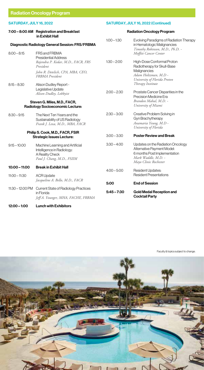## SATURDAY, JULY 16, 2022

#### 7:00 – 8:00 AM Registration and Breakfast in Exhibit Hall

## SATURDAY, JULY 16, 2022 (Continued)

## Radiation Oncology Program

|                                                                                                                |                                                                                                                                                                                                                                                                                                               | Evolving Paradigms of Radiation Therapy<br>in Hematologic Malignancies<br>Timothy Robinson, M.D., Ph.D. -                                       |
|----------------------------------------------------------------------------------------------------------------|---------------------------------------------------------------------------------------------------------------------------------------------------------------------------------------------------------------------------------------------------------------------------------------------------------------|-------------------------------------------------------------------------------------------------------------------------------------------------|
| FRS and FRBMA<br><b>Presidential Address</b>                                                                   |                                                                                                                                                                                                                                                                                                               | Moffitt Cancer Center                                                                                                                           |
| Rajendra P. Kedar, M.D., FACR, FRS<br>President                                                                | $1:30 - 2:00$                                                                                                                                                                                                                                                                                                 | High-Dose Conformal Proton<br>Radiotherapy for Skull-Base                                                                                       |
| John R. Detelich, CPA, MBA, CEO,<br>FRBMA President                                                            |                                                                                                                                                                                                                                                                                                               | Malignancies<br>Adam Holtzman, M.D -<br>University of Florida Proton                                                                            |
| Alison Dudley Report -                                                                                         |                                                                                                                                                                                                                                                                                                               | Therapy Institute                                                                                                                               |
| Alison Dudley, Lobbyist                                                                                        | $2:00 - 2:30$                                                                                                                                                                                                                                                                                                 | Prostate Cancer Disparities in the<br>Precision Medicine Era                                                                                    |
|                                                                                                                |                                                                                                                                                                                                                                                                                                               | Brandon Mahal, M.D. -<br>University of Miami                                                                                                    |
| The Next Ten Years and the<br>Sustainability of US Radiology<br>Frank J. Lexa, M.D., MBA, FACR                 | $2:30 - 3:00$                                                                                                                                                                                                                                                                                                 | Creative Problem Solving in<br>Gyn Brachytherapy<br>Anamaria Yeung, M.D -<br>University of Florida                                              |
|                                                                                                                | $3:00 - 3:30$                                                                                                                                                                                                                                                                                                 | <b>Poster Review and Break</b>                                                                                                                  |
| Machine Learning and Artificial<br>Intelligence in Radiology:<br>A Reality Check<br>Paul J. Chang, M.D., FSIIM | $3:30 - 4:00$                                                                                                                                                                                                                                                                                                 | Updates on the Radiation Oncology<br>Alternative Payment Model:<br>6 months Post Implementation<br>Mark Waddle, M.D. -<br>Mayo Clinic Rochester |
| <b>Break in Exhibit Hall</b>                                                                                   | $4:00 - 5:00$                                                                                                                                                                                                                                                                                                 | <b>Resident Updates:</b>                                                                                                                        |
| <b>ACR Update</b>                                                                                              |                                                                                                                                                                                                                                                                                                               | <b>Resident Presentations</b>                                                                                                                   |
|                                                                                                                | 5:00                                                                                                                                                                                                                                                                                                          | <b>End of Session</b>                                                                                                                           |
| in Florida<br>Jeff A. Younger, MHA, FACHE, FRBMA                                                               | $5:45 - 7:30$                                                                                                                                                                                                                                                                                                 | <b>Gold Medal Reception and</b><br><b>Cocktail Party</b>                                                                                        |
|                                                                                                                | Diagnostic Radiology General Session: FRS/FRBMA<br>Legislative Update<br>Steven G. Miles, M.D., FACR,<br>Radiology Socioeconomic Lecture:<br>Philip S. Cook, M.D., FACR, FSIR<br><b>Strategic Issues Lecture:</b><br>Jacqueline A. Bello, M.D., FACR<br>11:30 - 12:00 PM Current State of Radiology Practices | $1:00 - 1:30$                                                                                                                                   |

12:00 – 1:00 Lunch with Exhibitors

Faculty & topics subject to change.

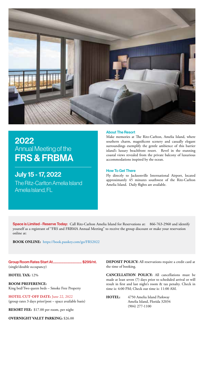

## 2022 Annual Meeting of the FRS & FRBMA

July 15 - 17, 2022 The Ritz-Carlton Amelia Island Amelia Island, FL

#### About The Resort

Make memories at The Ritz-Carlton, Amelia Island, where southern charm, magnificent scenery and casually elegant surroundings exemplify the gentle ambience of this barrier island's luxury beachfront resort. Revel in the stunning coastal views revealed from the private balcony of luxurious accommodations inspired by the ocean.

#### How To Get There

Fly directly to Jacksonville International Airport, located approximately 45 minutes southwest of the Ritz-Carlton Amelia Island. Daily flights are available.

Space is Limited - Reserve Today: Call Ritz-Carlton Amelia Island for Reservations at: 866-763-2960 and identify yourself as a registrant of "FRS and FRBMA Annual Meeting" to receive the group discount or make your reservation online at:

**BOOK ONLINE:** https://book.passkey.com/go/FRS2022

Group Room Rates Start At................................... \$299/nt. (single/double occupancy)

## **HOTEL TAX:** 12%

**ROOM PREFERENCE:** King bed/Two queen beds – Smoke Free Property

**HOTEL CUT-OFF DATE:** June 22, 2022 (group rates 3 days prior/post – space available basis)

**RESORT FEE:** \$17.00 per room, per night

**OVERNIGHT VALET PARKING:** \$26.00

**DEPOSIT POLICY:** All reservations require a credit card at the time of booking.

**CANCELLATION POLICY:** All cancellations must be made at least seven (7) days prior to scheduled arrival or will result in first and last night's room & tax penalty. Check in time is: 4:00 PM; Check out time is: 11:00 AM.

**HOTEL:** 4750 Amelia Island Parkway Amelia Island, Florida 32034 (904) 277-1100